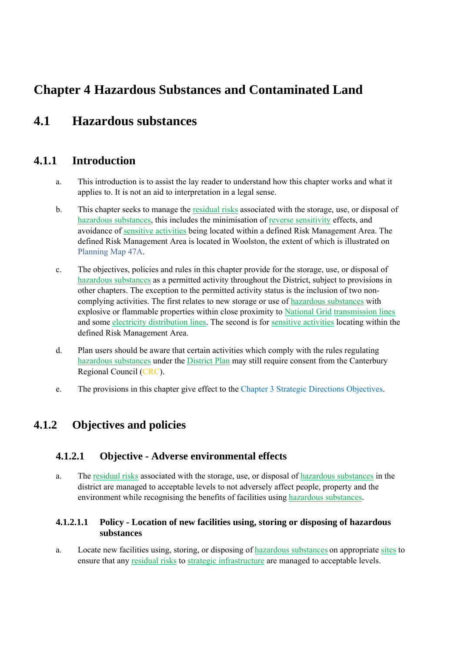# **Chapter 4 Hazardous Substances and Contaminated Land**

# **4.1 Hazardous substances**

## **4.1.1 Introduction**

- a. This introduction is to assist the lay reader to understand how this chapter works and what it applies to. It is not an aid to interpretation in a legal sense.
- b. This chapter seeks to manage the residual risks associated with the storage, use, or disposal of hazardous substances, this includes the minimisation of reverse sensitivity effects, and avoidance of sensitive activities being located within a defined Risk Management Area. The defined Risk Management Area is located in Woolston, the extent of which is illustrated on Planning Map 47A.
- c. The objectives, policies and rules in this chapter provide for the storage, use, or disposal of hazardous substances as a permitted activity throughout the District, subject to provisions in other chapters. The exception to the permitted activity status is the inclusion of two noncomplying activities. The first relates to new storage or use of hazardous substances with explosive or flammable properties within close proximity to National Grid transmission lines and some electricity distribution lines. The second is for sensitive activities locating within the defined Risk Management Area.
- d. Plan users should be aware that certain activities which comply with the rules regulating hazardous substances under the District Plan may still require consent from the Canterbury Regional Council (CRC).
- e. The provisions in this chapter give effect to the Chapter 3 Strategic Directions Objectives.

## **4.1.2 Objectives and policies**

## **4.1.2.1 Objective - Adverse environmental effects**

a. The residual risks associated with the storage, use, or disposal of hazardous substances in the district are managed to acceptable levels to not adversely affect people, property and the environment while recognising the benefits of facilities using hazardous substances.

#### **4.1.2.1.1 Policy - Location of new facilities using, storing or disposing of hazardous substances**

a. Locate new facilities using, storing, or disposing of hazardous substances on appropriate sites to ensure that any residual risks to strategic infrastructure are managed to acceptable levels.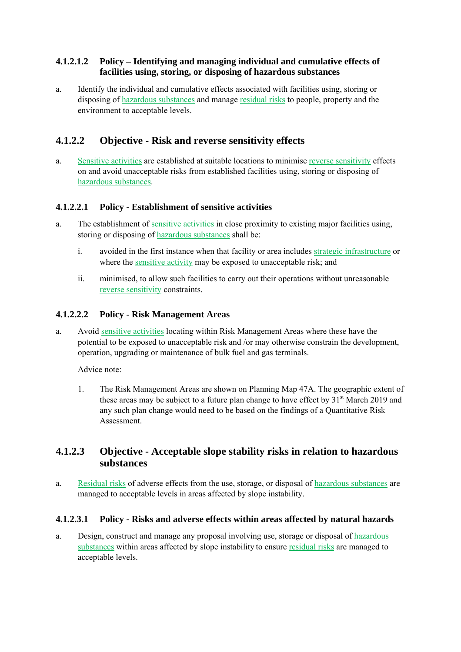#### **4.1.2.1.2 Policy – Identifying and managing individual and cumulative effects of facilities using, storing, or disposing of hazardous substances**

a. Identify the individual and cumulative effects associated with facilities using, storing or disposing of hazardous substances and manage residual risks to people, property and the environment to acceptable levels.

## **4.1.2.2 Objective - Risk and reverse sensitivity effects**

a. Sensitive activities are established at suitable locations to minimise reverse sensitivity effects on and avoid unacceptable risks from established facilities using, storing or disposing of hazardous substances.

#### **4.1.2.2.1 Policy - Establishment of sensitive activities**

- a. The establishment of sensitive activities in close proximity to existing major facilities using, storing or disposing of hazardous substances shall be:
	- i. avoided in the first instance when that facility or area includes strategic infrastructure or where the sensitive activity may be exposed to unacceptable risk; and
	- ii. minimised, to allow such facilities to carry out their operations without unreasonable reverse sensitivity constraints.

#### **4.1.2.2.2 Policy - Risk Management Areas**

a. Avoid sensitive activities locating within Risk Management Areas where these have the potential to be exposed to unacceptable risk and /or may otherwise constrain the development, operation, upgrading or maintenance of bulk fuel and gas terminals.

Advice note:

1. The Risk Management Areas are shown on Planning Map 47A. The geographic extent of these areas may be subject to a future plan change to have effect by  $31<sup>st</sup>$  March 2019 and any such plan change would need to be based on the findings of a Quantitative Risk Assessment.

### **4.1.2.3 Objective - Acceptable slope stability risks in relation to hazardous substances**

a. Residual risks of adverse effects from the use, storage, or disposal of hazardous substances are managed to acceptable levels in areas affected by slope instability.

#### **4.1.2.3.1 Policy - Risks and adverse effects within areas affected by natural hazards**

a. Design, construct and manage any proposal involving use, storage or disposal of hazardous substances within areas affected by slope instability to ensure residual risks are managed to acceptable levels.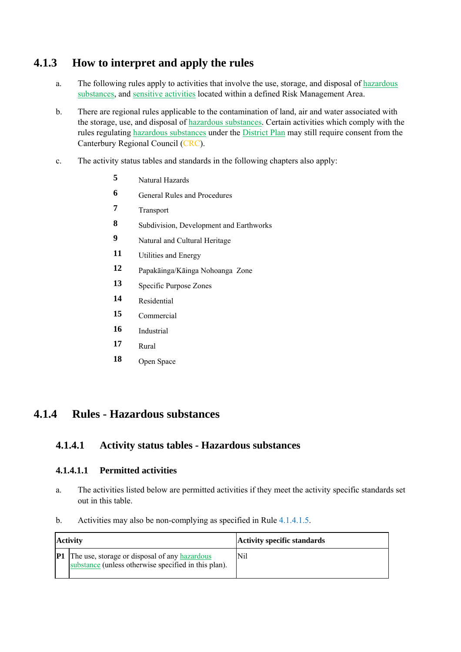## **4.1.3 How to interpret and apply the rules**

- a. The following rules apply to activities that involve the use, storage, and disposal of hazardous substances, and sensitive activities located within a defined Risk Management Area.
- b. There are regional rules applicable to the contamination of land, air and water associated with the storage, use, and disposal of hazardous substances. Certain activities which comply with the rules regulating hazardous substances under the District Plan may still require consent from the Canterbury Regional Council (CRC).
- c. The activity status tables and standards in the following chapters also apply:
	- **5** Natural Hazards
	- **6 General Rules and Procedures**
	- **7** Transport
	- **8** Subdivision, Development and Earthworks
	- **9** Natural and Cultural Heritage
	- **11** Utilities and Energy
	- **12** Papakāinga/Kāinga Nohoanga Zone
	- **13** Specific Purpose Zones
	- **14** Residential
	- **15** Commercial
	- **16** Industrial
	- **17** Rural
	- **18** Open Space

## **4.1.4 Rules - Hazardous substances**

### **4.1.4.1 Activity status tables - Hazardous substances**

#### **4.1.4.1.1 Permitted activities**

- a. The activities listed below are permitted activities if they meet the activity specific standards set out in this table.
- b. Activities may also be non-complying as specified in Rule 4.1.4.1.5.

| Activity                                                                                                        | <b>Activity specific standards</b> |
|-----------------------------------------------------------------------------------------------------------------|------------------------------------|
| <b>P1</b> The use, storage or disposal of any hazardous<br>substance (unless otherwise specified in this plan). | Nil                                |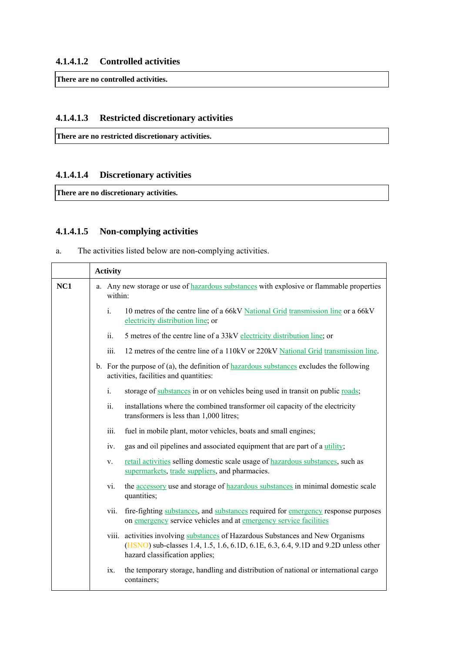**There are no controlled activities.** 

#### **4.1.4.1.3 Restricted discretionary activities**

**There are no restricted discretionary activities.** 

#### **4.1.4.1.4 Discretionary activities**

**There are no discretionary activities.** 

#### **4.1.4.1.5 Non-complying activities**

a. The activities listed below are non-complying activities.

|     | <b>Activity</b>                                                                                                                    |      |                                                                                                                                                                                                         |
|-----|------------------------------------------------------------------------------------------------------------------------------------|------|---------------------------------------------------------------------------------------------------------------------------------------------------------------------------------------------------------|
| NC1 | a. Any new storage or use of hazardous substances with explosive or flammable properties<br>within:                                |      |                                                                                                                                                                                                         |
|     |                                                                                                                                    | i.   | 10 metres of the centre line of a 66kV National Grid transmission line or a 66kV<br>electricity distribution line; or                                                                                   |
|     |                                                                                                                                    | ii.  | 5 metres of the centre line of a 33kV electricity distribution line; or                                                                                                                                 |
|     |                                                                                                                                    | iii. | 12 metres of the centre line of a 110kV or 220kV National Grid transmission line.                                                                                                                       |
|     | b. For the purpose of (a), the definition of hazardous substances excludes the following<br>activities, facilities and quantities: |      |                                                                                                                                                                                                         |
|     |                                                                                                                                    | i.   | storage of substances in or on vehicles being used in transit on public roads;                                                                                                                          |
|     |                                                                                                                                    | ii.  | installations where the combined transformer oil capacity of the electricity<br>transformers is less than 1,000 litres;                                                                                 |
|     |                                                                                                                                    | iii. | fuel in mobile plant, motor vehicles, boats and small engines;                                                                                                                                          |
|     |                                                                                                                                    | iv.  | gas and oil pipelines and associated equipment that are part of a utility;                                                                                                                              |
|     |                                                                                                                                    | V.   | retail activities selling domestic scale usage of hazardous substances, such as<br>supermarkets, trade suppliers, and pharmacies.                                                                       |
|     |                                                                                                                                    | vi.  | the accessory use and storage of hazardous substances in minimal domestic scale<br>quantities;                                                                                                          |
|     |                                                                                                                                    | vii. | fire-fighting substances, and substances required for emergency response purposes<br>on emergency service vehicles and at emergency service facilities                                                  |
|     |                                                                                                                                    |      | viii. activities involving substances of Hazardous Substances and New Organisms<br>(HSNO) sub-classes 1.4, 1.5, 1.6, 6.1D, 6.1E, 6.3, 6.4, 9.1D and 9.2D unless other<br>hazard classification applies; |
|     |                                                                                                                                    | ix.  | the temporary storage, handling and distribution of national or international cargo<br>containers;                                                                                                      |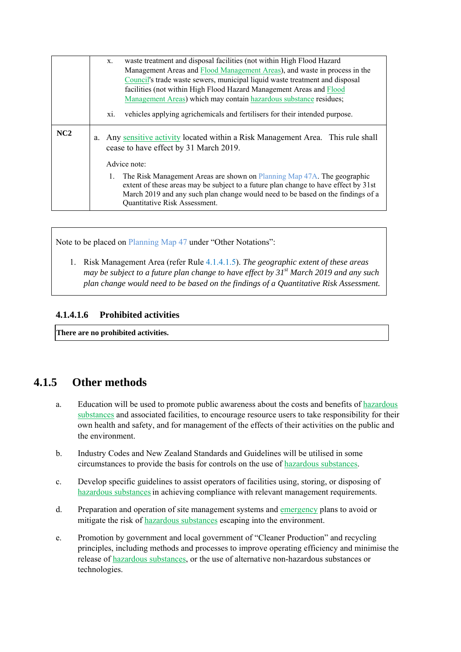|     | X.                                                                                                                                                                                                                                                                                       | waste treatment and disposal facilities (not within High Flood Hazard<br>Management Areas and Flood Management Areas), and waste in process in the<br>Council's trade waste sewers, municipal liquid waste treatment and disposal<br>facilities (not within High Flood Hazard Management Areas and Flood |  |
|-----|------------------------------------------------------------------------------------------------------------------------------------------------------------------------------------------------------------------------------------------------------------------------------------------|----------------------------------------------------------------------------------------------------------------------------------------------------------------------------------------------------------------------------------------------------------------------------------------------------------|--|
|     | Management Areas) which may contain hazardous substance residues;                                                                                                                                                                                                                        |                                                                                                                                                                                                                                                                                                          |  |
|     | vehicles applying agrichemicals and fertilisers for their intended purpose.<br>X1.                                                                                                                                                                                                       |                                                                                                                                                                                                                                                                                                          |  |
| NC2 | Any sensitive activity located within a Risk Management Area. This rule shall<br>a.<br>cease to have effect by 31 March 2019.                                                                                                                                                            |                                                                                                                                                                                                                                                                                                          |  |
|     | Advice note:                                                                                                                                                                                                                                                                             |                                                                                                                                                                                                                                                                                                          |  |
|     | The Risk Management Areas are shown on Planning Map 47A. The geographic<br>1.<br>extent of these areas may be subject to a future plan change to have effect by 31st<br>March 2019 and any such plan change would need to be based on the findings of a<br>Quantitative Risk Assessment. |                                                                                                                                                                                                                                                                                                          |  |

Note to be placed on Planning Map 47 under "Other Notations":

1. Risk Management Area (refer Rule 4.1.4.1.5). *The geographic extent of these areas may be subject to a future plan change to have effect by 31st March 2019 and any such plan change would need to be based on the findings of a Quantitative Risk Assessment.*

#### **4.1.4.1.6 Prohibited activities**

**There are no prohibited activities.** 

## **4.1.5 Other methods**

- a. Education will be used to promote public awareness about the costs and benefits of hazardous substances and associated facilities, to encourage resource users to take responsibility for their own health and safety, and for management of the effects of their activities on the public and the environment.
- b. Industry Codes and New Zealand Standards and Guidelines will be utilised in some circumstances to provide the basis for controls on the use of hazardous substances.
- c. Develop specific guidelines to assist operators of facilities using, storing, or disposing of hazardous substances in achieving compliance with relevant management requirements.
- d. Preparation and operation of site management systems and emergency plans to avoid or mitigate the risk of hazardous substances escaping into the environment.
- e. Promotion by government and local government of "Cleaner Production" and recycling principles, including methods and processes to improve operating efficiency and minimise the release of hazardous substances, or the use of alternative non-hazardous substances or technologies.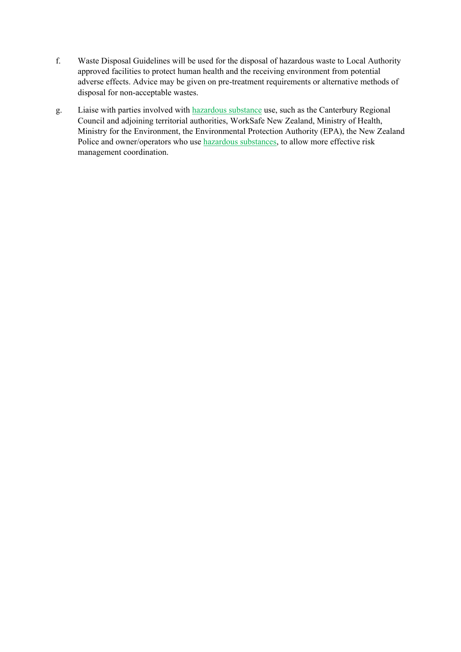- f. Waste Disposal Guidelines will be used for the disposal of hazardous waste to Local Authority approved facilities to protect human health and the receiving environment from potential adverse effects. Advice may be given on pre-treatment requirements or alternative methods of disposal for non-acceptable wastes.
- g. Liaise with parties involved with hazardous substance use, such as the Canterbury Regional Council and adjoining territorial authorities, WorkSafe New Zealand, Ministry of Health, Ministry for the Environment, the Environmental Protection Authority (EPA), the New Zealand Police and owner/operators who use hazardous substances, to allow more effective risk management coordination.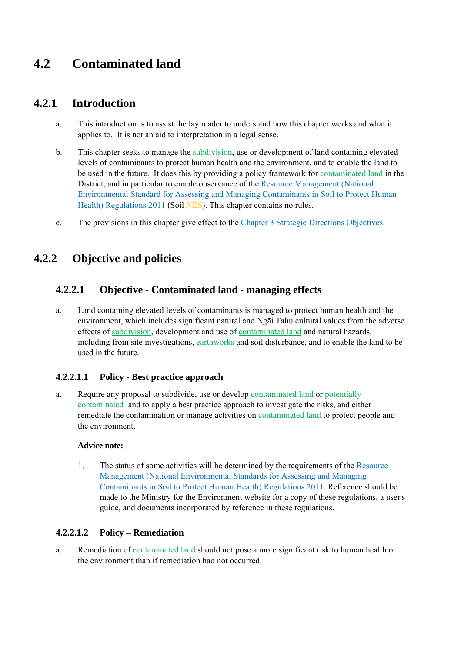# **4.2 Contaminated land**

## **4.2.1 Introduction**

- a. This introduction is to assist the lay reader to understand how this chapter works and what it applies to. It is not an aid to interpretation in a legal sense.
- b. This chapter seeks to manage the subdivision, use or development of land containing elevated levels of contaminants to protect human health and the environment, and to enable the land to be used in the future. It does this by providing a policy framework for contaminated land in the District, and in particular to enable observance of the Resource Management (National Environmental Standard for Assessing and Managing Contaminants in Soil to Protect Human Health) Regulations 2011 (Soil NES). This chapter contains no rules.
- c. The provisions in this chapter give effect to the Chapter 3 Strategic Directions Objectives.

## **4.2.2 Objective and policies**

### **4.2.2.1 Objective - Contaminated land - managing effects**

a. Land containing elevated levels of contaminants is managed to protect human health and the environment, which includes significant natural and Ngāi Tahu cultural values from the adverse effects of subdivision, development and use of contaminated land and natural hazards, including from site investigations, earthworks and soil disturbance, and to enable the land to be used in the future.

#### **4.2.2.1.1 Policy - Best practice approach**

a. Require any proposal to subdivide, use or develop contaminated land or potentially contaminated land to apply a best practice approach to investigate the risks, and either remediate the contamination or manage activities on contaminated land to protect people and the environment.

#### **Advice note:**

1. The status of some activities will be determined by the requirements of the Resource Management (National Environmental Standards for Assessing and Managing Contaminants in Soil to Protect Human Health) Regulations 2011. Reference should be made to the Ministry for the Environment website for a copy of these regulations, a user's guide, and documents incorporated by reference in these regulations.

#### **4.2.2.1.2 Policy – Remediation**

a. Remediation of contaminated land should not pose a more significant risk to human health or the environment than if remediation had not occurred.